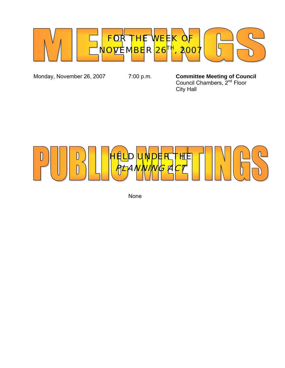

Monday, November 26, 2007 7:00 p.m. **Committee Meeting of Council**  *Council Chambers, 2<sup>nd</sup> Floor* City Hall



None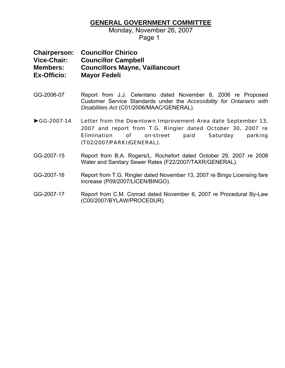## **GENERAL GOVERNMENT COMMITTEE**

Monday, November 26, 2007 Page 1

**Chairperson: Councillor Chirico Vice-Chair: Councillor Campbell Members: Councillors Mayne, Vaillancourt Ex-Officio: Mayor Fedeli** 

- GG-2006-07 Report from J.J. Celentano dated November 8, 2006 re Proposed Customer Service Standards under the *Accessibility for Ontarians with Disabilities Act* (C01/2006/MAAC/GENERAL).
- ►GG-2007-14 Letter from the Downtown Improvement Area date September 13, 2007 and report from T.G. Ringler dated October 30, 2007 re Elimination of on-street paid Saturday parking (T02/2007/PARKI/GENERAL).
- GG-2007-15 Report from B.A. Rogers/L. Rochefort dated October 29, 2007 re 2008 Water and Sanitary Sewer Rates (F22/2007/TAXR/GENERAL).
- GG-2007-16 Report from T.G. Ringler dated November 13, 2007 re Bingo Licensing fare increase (P09/2007/LICEN/BINGO).
- GG-2007-17 Report from C.M. Conrad dated November 6, 2007 re Procedural By-Law (C00/2007/BYLAW/PROCEDUR).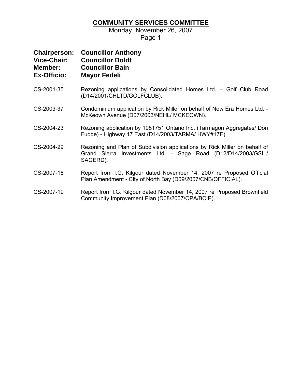## **COMMUNITY SERVICES COMMITTEE**

Monday, November 26, 2007

Page 1

| <b>Chairperson:</b> | <b>Councillor Anthony</b> |
|---------------------|---------------------------|
| <b>Vice-Chair:</b>  | <b>Councillor Boldt</b>   |
| Member:             | <b>Councillor Bain</b>    |
| <b>Ex-Officio:</b>  | <b>Mayor Fedeli</b>       |

- CS-2001-35 Rezoning applications by Consolidated Homes Ltd. Golf Club Road (D14/2001/CHLTD/GOLFCLUB).
- CS-2003-37 Condominium application by Rick Miller on behalf of New Era Homes Ltd. McKeown Avenue (D07/2003/NEHL/ MCKEOWN).
- CS-2004-23 Rezoning application by 1081751 Ontario Inc. (Tarmagon Aggregates/ Don Fudge) - Highway 17 East (D14/2003/TARMA/ HWY#17E).
- CS-2004-29 Rezoning and Plan of Subdivision applications by Rick Miller on behalf of Grand Sierra Investments Ltd. - Sage Road (D12/D14/2003/GSIL/ SAGERD).
- CS-2007-18 Report from I.G. Kilgour dated November 14, 2007 re Proposed Official Plan Amendment - City of North Bay (D09/2007/CNB/OFFICIAL).
- CS-2007-19 Report from I.G. Kilgour dated November 14, 2007 re Proposed Brownfield Community Improvement Plan (D08/2007/OPA/BCIP).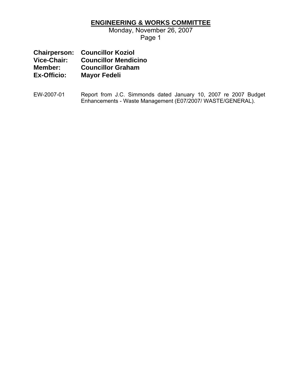## **ENGINEERING & WORKS COMMITTEE**

Monday, November 26, 2007 Page 1

**Chairperson: Councillor Koziol Vice-Chair: Councillor Mendicino Member: Councillor Graham<br>Ex-Officio: Mavor Fedeli Mayor Fedeli** 

EW-2007-01 Report from J.C. Simmonds dated January 10, 2007 re 2007 Budget Enhancements - Waste Management (E07/2007/ WASTE/GENERAL).